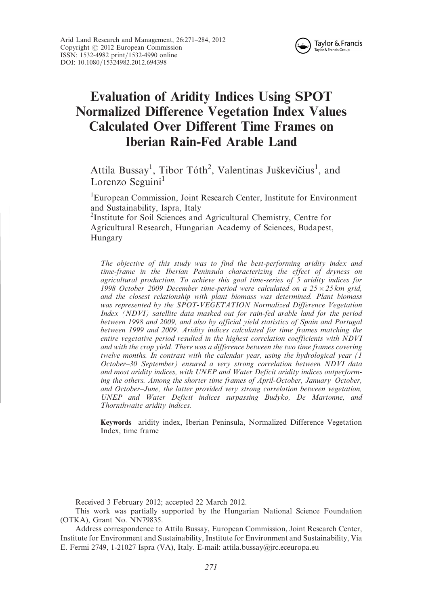

# Evaluation of Aridity Indices Using SPOT Normalized Difference Vegetation Index Values Calculated Over Different Time Frames on Iberian Rain-Fed Arable Land

Attila Bussay<sup>1</sup>, Tibor Tóth<sup>2</sup>, Valentinas Juškevičius<sup>1</sup>, and Lorenzo Seguini<sup>1</sup>

<sup>1</sup>European Commission, Joint Research Center, Institute for Environment and Sustainability, Ispra, Italy

2 Institute for Soil Sciences and Agricultural Chemistry, Centre for Agricultural Research, Hungarian Academy of Sciences, Budapest, Hungary

The objective of this study was to find the best-performing aridity index and time-frame in the Iberian Peninsula characterizing the effect of dryness on agricultural production. To achieve this goal time-series of 5 aridity indices for 1998 October-2009 December time-period were calculated on a  $25 \times 25$  km grid, and the closest relationship with plant biomass was determined. Plant biomass was represented by the SPOT-VEGETATION Normalized Difference Vegetation Index (NDVI) satellite data masked out for rain-fed arable land for the period between 1998 and 2009, and also by official yield statistics of Spain and Portugal between 1999 and 2009. Aridity indices calculated for time frames matching the entire vegetative period resulted in the highest correlation coefficients with NDVI and with the crop yield. There was a difference between the two time frames covering twelve months. In contrast with the calendar year, using the hydrological year (1 October–30 September) ensured a very strong correlation between NDVI data and most aridity indices, with UNEP and Water Deficit aridity indices outperforming the others. Among the shorter time frames of April-October, January–October, and October–June, the latter provided very strong correlation between vegetation, UNEP and Water Deficit indices surpassing Budyko, De Martonne, and Thornthwaite aridity indices.

Keywords aridity index, Iberian Peninsula, Normalized Difference Vegetation Index, time frame

Received 3 February 2012; accepted 22 March 2012.

This work was partially supported by the Hungarian National Science Foundation (OTKA), Grant No. NN79835.

Address correspondence to Attila Bussay, European Commission, Joint Research Center, Institute for Environment and Sustainability, Institute for Environment and Sustainability, Via E. Fermi 2749, 1-21027 Ispra (VA), Italy. E-mail: attila.bussay@jrc.eceuropa.eu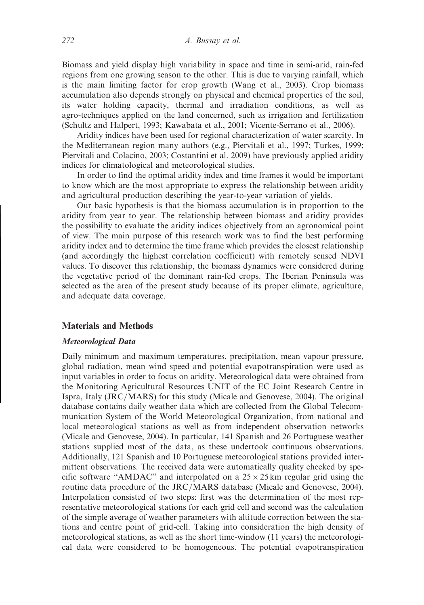Biomass and yield display high variability in space and time in semi-arid, rain-fed regions from one growing season to the other. This is due to varying rainfall, which is the main limiting factor for crop growth (Wang et al., 2003). Crop biomass accumulation also depends strongly on physical and chemical properties of the soil, its water holding capacity, thermal and irradiation conditions, as well as agro-techniques applied on the land concerned, such as irrigation and fertilization (Schultz and Halpert, 1993; Kawabata et al., 2001; Vicente-Serrano et al., 2006).

Aridity indices have been used for regional characterization of water scarcity. In the Mediterranean region many authors (e.g., Piervitali et al., 1997; Turkes, 1999; Piervitali and Colacino, 2003; Costantini et al. 2009) have previously applied aridity indices for climatological and meteorological studies.

In order to find the optimal aridity index and time frames it would be important to know which are the most appropriate to express the relationship between aridity and agricultural production describing the year-to-year variation of yields.

Our basic hypothesis is that the biomass accumulation is in proportion to the aridity from year to year. The relationship between biomass and aridity provides the possibility to evaluate the aridity indices objectively from an agronomical point of view. The main purpose of this research work was to find the best performing aridity index and to determine the time frame which provides the closest relationship (and accordingly the highest correlation coefficient) with remotely sensed NDVI values. To discover this relationship, the biomass dynamics were considered during the vegetative period of the dominant rain-fed crops. The Iberian Peninsula was selected as the area of the present study because of its proper climate, agriculture, and adequate data coverage.

# Materials and Methods

#### Meteorological Data

Daily minimum and maximum temperatures, precipitation, mean vapour pressure, global radiation, mean wind speed and potential evapotranspiration were used as input variables in order to focus on aridity. Meteorological data were obtained from the Monitoring Agricultural Resources UNIT of the EC Joint Research Centre in Ispra, Italy (JRC/MARS) for this study (Micale and Genovese, 2004). The original database contains daily weather data which are collected from the Global Telecommunication System of the World Meteorological Organization, from national and local meteorological stations as well as from independent observation networks (Micale and Genovese, 2004). In particular, 141 Spanish and 26 Portuguese weather stations supplied most of the data, as these undertook continuous observations. Additionally, 121 Spanish and 10 Portuguese meteorological stations provided intermittent observations. The received data were automatically quality checked by specific software "AMDAC" and interpolated on a  $25 \times 25$  km regular grid using the routine data procedure of the JRC/MARS database (Micale and Genovese, 2004). Interpolation consisted of two steps: first was the determination of the most representative meteorological stations for each grid cell and second was the calculation of the simple average of weather parameters with altitude correction between the stations and centre point of grid-cell. Taking into consideration the high density of meteorological stations, as well as the short time-window (11 years) the meteorological data were considered to be homogeneous. The potential evapotranspiration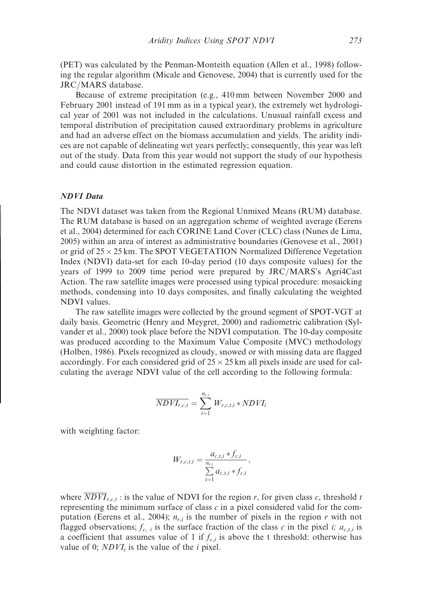(PET) was calculated by the Penman-Monteith equation (Allen et al., 1998) following the regular algorithm (Micale and Genovese, 2004) that is currently used for the JRC/MARS database.

Because of extreme precipitation (e.g., 410 mm between November 2000 and February 2001 instead of 191 mm as in a typical year), the extremely wet hydrological year of 2001 was not included in the calculations. Unusual rainfall excess and temporal distribution of precipitation caused extraordinary problems in agriculture and had an adverse effect on the biomass accumulation and yields. The aridity indices are not capable of delineating wet years perfectly; consequently, this year was left out of the study. Data from this year would not support the study of our hypothesis and could cause distortion in the estimated regression equation.

#### NDVI Data

The NDVI dataset was taken from the Regional Unmixed Means (RUM) database. The RUM database is based on an aggregation scheme of weighted average (Eerens et al., 2004) determined for each CORINE Land Cover (CLC) class (Nunes de Lima, 2005) within an area of interest as administrative boundaries (Genovese et al., 2001) or grid of  $25 \times 25$  km. The SPOT VEGETATION Normalized Difference Vegetation Index (NDVI) data-set for each 10-day period (10 days composite values) for the years of 1999 to 2009 time period were prepared by JRC/MARS's Agri4Cast Action. The raw satellite images were processed using typical procedure: mosaicking methods, condensing into 10 days composites, and finally calculating the weighted NDVI values.

The raw satellite images were collected by the ground segment of SPOT-VGT at daily basis. Geometric (Henry and Meygret, 2000) and radiometric calibration (Sylvander et al., 2000) took place before the NDVI computation. The 10-day composite was produced according to the Maximum Value Composite (MVC) methodology (Holben, 1986). Pixels recognized as cloudy, snowed or with missing data are flagged accordingly. For each considered grid of  $25 \times 25$  km all pixels inside are used for calculating the average NDVI value of the cell according to the following formula:

$$
\overline{NDVI_{r,c,t}} = \sum_{i=1}^{n_{r,i}} W_{r,c,t,i} * NDVI_i
$$

with weighting factor:

$$
W_{r,c,t,i} = \frac{a_{c,t,i} * f_{c,i}}{\sum_{i=1}^{n_{r,i}} a_{c,t,i} * f_{c,i}},
$$

where  $\overline{NDVI}_{r,c,t}$ : is the value of NDVI for the region r, for given class c, threshold t representing the minimum surface of class  $c$  in a pixel considered valid for the computation (Eerens et al., 2004);  $n_{r,i}$  is the number of pixels in the region r with not flagged observations;  $f_{c,i}$  is the surface fraction of the class c in the pixel i;  $a_{c,i,i}$  is a coefficient that assumes value of 1 if  $f_{c,i}$  is above the t threshold: otherwise has value of 0;  $NDVI_i$  is the value of the *i* pixel.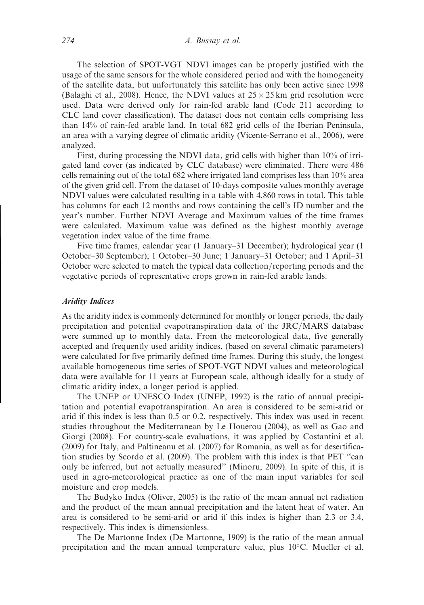The selection of SPOT-VGT NDVI images can be properly justified with the usage of the same sensors for the whole considered period and with the homogeneity of the satellite data, but unfortunately this satellite has only been active since 1998 (Balaghi et al., 2008). Hence, the NDVI values at  $25 \times 25$  km grid resolution were used. Data were derived only for rain-fed arable land (Code 211 according to CLC land cover classification). The dataset does not contain cells comprising less than 14% of rain-fed arable land. In total 682 grid cells of the Iberian Peninsula, an area with a varying degree of climatic aridity (Vicente-Serrano et al., 2006), were analyzed.

First, during processing the NDVI data, grid cells with higher than 10% of irrigated land cover (as indicated by CLC database) were eliminated. There were 486 cells remaining out of the total 682 where irrigated land comprises less than 10% area of the given grid cell. From the dataset of 10-days composite values monthly average NDVI values were calculated resulting in a table with 4,860 rows in total. This table has columns for each 12 months and rows containing the cell's ID number and the year's number. Further NDVI Average and Maximum values of the time frames were calculated. Maximum value was defined as the highest monthly average vegetation index value of the time frame.

Five time frames, calendar year (1 January–31 December); hydrological year (1 October–30 September); 1 October–30 June; 1 January–31 October; and 1 April–31 October were selected to match the typical data collection/reporting periods and the vegetative periods of representative crops grown in rain-fed arable lands.

# Aridity Indices

As the aridity index is commonly determined for monthly or longer periods, the daily precipitation and potential evapotranspiration data of the JRC/MARS database were summed up to monthly data. From the meteorological data, five generally accepted and frequently used aridity indices, (based on several climatic parameters) were calculated for five primarily defined time frames. During this study, the longest available homogeneous time series of SPOT-VGT NDVI values and meteorological data were available for 11 years at European scale, although ideally for a study of climatic aridity index, a longer period is applied.

The UNEP or UNESCO Index (UNEP, 1992) is the ratio of annual precipitation and potential evapotranspiration. An area is considered to be semi-arid or arid if this index is less than 0.5 or 0.2, respectively. This index was used in recent studies throughout the Mediterranean by Le Houerou (2004), as well as Gao and Giorgi (2008). For country-scale evaluations, it was applied by Costantini et al. (2009) for Italy, and Paltineanu et al. (2007) for Romania, as well as for desertification studies by Scordo et al. (2009). The problem with this index is that PET ''can only be inferred, but not actually measured'' (Minoru, 2009). In spite of this, it is used in agro-meteorological practice as one of the main input variables for soil moisture and crop models.

The Budyko Index (Oliver, 2005) is the ratio of the mean annual net radiation and the product of the mean annual precipitation and the latent heat of water. An area is considered to be semi-arid or arid if this index is higher than 2.3 or 3.4, respectively. This index is dimensionless.

The De Martonne Index (De Martonne, 1909) is the ratio of the mean annual precipitation and the mean annual temperature value, plus  $10^{\circ}$ C. Mueller et al.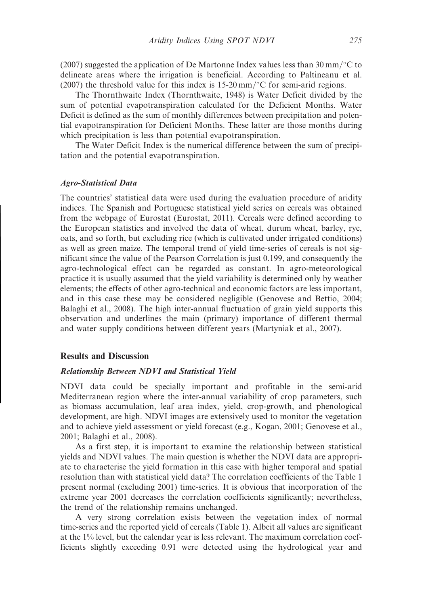(2007) suggested the application of De Martonne Index values less than 30 mm/ $\degree$ C to delineate areas where the irrigation is beneficial. According to Paltineanu et al. (2007) the threshold value for this index is  $15{\text -}20\,\text{mm}/^{\circ}\text{C}$  for semi-arid regions.

The Thornthwaite Index (Thornthwaite, 1948) is Water Deficit divided by the sum of potential evapotranspiration calculated for the Deficient Months. Water Deficit is defined as the sum of monthly differences between precipitation and potential evapotranspiration for Deficient Months. These latter are those months during which precipitation is less than potential evapotranspiration.

The Water Deficit Index is the numerical difference between the sum of precipitation and the potential evapotranspiration.

## Agro-Statistical Data

The countries' statistical data were used during the evaluation procedure of aridity indices. The Spanish and Portuguese statistical yield series on cereals was obtained from the webpage of Eurostat (Eurostat, 2011). Cereals were defined according to the European statistics and involved the data of wheat, durum wheat, barley, rye, oats, and so forth, but excluding rice (which is cultivated under irrigated conditions) as well as green maize. The temporal trend of yield time-series of cereals is not significant since the value of the Pearson Correlation is just 0.199, and consequently the agro-technological effect can be regarded as constant. In agro-meteorological practice it is usually assumed that the yield variability is determined only by weather elements; the effects of other agro-technical and economic factors are less important, and in this case these may be considered negligible (Genovese and Bettio, 2004; Balaghi et al., 2008). The high inter-annual fluctuation of grain yield supports this observation and underlines the main (primary) importance of different thermal and water supply conditions between different years (Martyniak et al., 2007).

## Results and Discussion

#### Relationship Between NDVI and Statistical Yield

NDVI data could be specially important and profitable in the semi-arid Mediterranean region where the inter-annual variability of crop parameters, such as biomass accumulation, leaf area index, yield, crop-growth, and phenological development, are high. NDVI images are extensively used to monitor the vegetation and to achieve yield assessment or yield forecast (e.g., Kogan, 2001; Genovese et al., 2001; Balaghi et al., 2008).

As a first step, it is important to examine the relationship between statistical yields and NDVI values. The main question is whether the NDVI data are appropriate to characterise the yield formation in this case with higher temporal and spatial resolution than with statistical yield data? The correlation coefficients of the Table 1 present normal (excluding 2001) time-series. It is obvious that incorporation of the extreme year 2001 decreases the correlation coefficients significantly; nevertheless, the trend of the relationship remains unchanged.

A very strong correlation exists between the vegetation index of normal time-series and the reported yield of cereals (Table 1). Albeit all values are significant at the 1% level, but the calendar year is less relevant. The maximum correlation coefficients slightly exceeding 0.91 were detected using the hydrological year and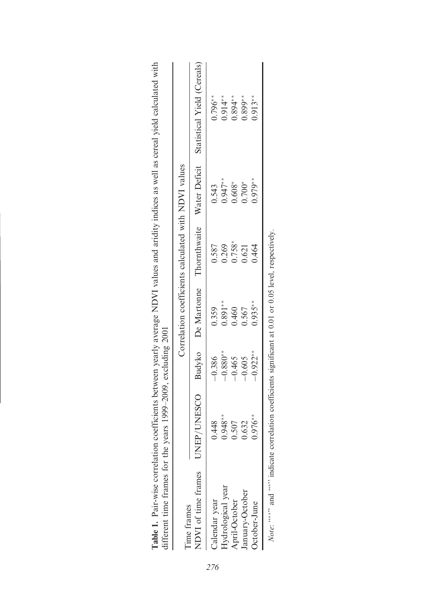| lifferent time frames for the years 1999–2009, excluding 2001<br>Table 1. Pair-wise correlation |                                                                                                                |            |           |                                                      |            | coefficients between yearly average NDVI values and aridity indices as well as cereal yield calculated with |
|-------------------------------------------------------------------------------------------------|----------------------------------------------------------------------------------------------------------------|------------|-----------|------------------------------------------------------|------------|-------------------------------------------------------------------------------------------------------------|
| Time frames                                                                                     |                                                                                                                |            |           | Correlation coefficients calculated with NDVI values |            |                                                                                                             |
| NDVI of time frames                                                                             |                                                                                                                |            |           |                                                      |            | UNEP/UNESCO Budyko De-Martonne Thornthwaite Water-Deficit Statistical Yield (Cereals)                       |
| Calendar year                                                                                   | 0.448                                                                                                          | $-0.386$   | 0.359     | 0.587                                                | 0.543      | $0.796**$                                                                                                   |
| Hydrological year                                                                               | $0.948**$                                                                                                      | $-0.880**$ | $0.891**$ | 0.269                                                | $0.947**$  | $0.914**$                                                                                                   |
| April-October                                                                                   | 0.507                                                                                                          | $-0.465$   | 0.460     | $0.758*$                                             | $0.608*$   | $0.894**$                                                                                                   |
| January-October                                                                                 | 0.632                                                                                                          | $-0.605$   | 0.567     | 0.621                                                | $0.700*$   | $0.899**$                                                                                                   |
| October-June                                                                                    | $0.976**$                                                                                                      | $-0.922**$ | $0.935**$ | 0.464                                                | $0.979***$ | $0.913**$                                                                                                   |
|                                                                                                 | <i>Note:</i> "***" and "**" indicate correlation coefficients significant at 0.01 or 0.05 level, respectively. |            |           |                                                      |            |                                                                                                             |

| coefficients between yearly average NDVI values and aridity indices as well as cereal yield calculated with |                               |
|-------------------------------------------------------------------------------------------------------------|-------------------------------|
|                                                                                                             |                               |
|                                                                                                             | いりょ                           |
|                                                                                                             | India $\sigma$ 2001           |
|                                                                                                             | years $1999-2009$ , excluding |
|                                                                                                             |                               |
|                                                                                                             |                               |
|                                                                                                             |                               |
|                                                                                                             |                               |
|                                                                                                             |                               |
|                                                                                                             |                               |
|                                                                                                             |                               |
|                                                                                                             |                               |
|                                                                                                             |                               |
|                                                                                                             |                               |

276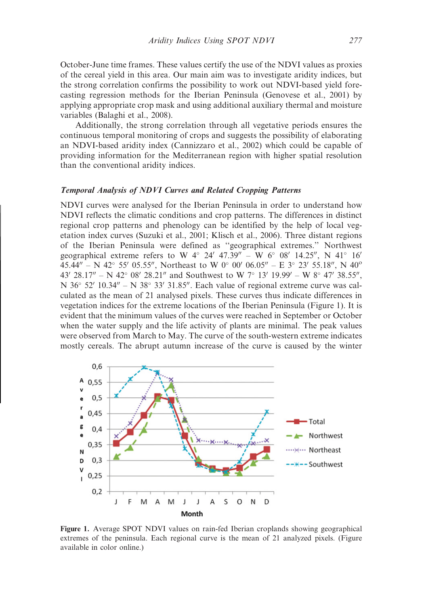October-June time frames. These values certify the use of the NDVI values as proxies of the cereal yield in this area. Our main aim was to investigate aridity indices, but the strong correlation confirms the possibility to work out NDVI-based yield forecasting regression methods for the Iberian Peninsula (Genovese et al., 2001) by applying appropriate crop mask and using additional auxiliary thermal and moisture variables (Balaghi et al., 2008).

Additionally, the strong correlation through all vegetative periods ensures the continuous temporal monitoring of crops and suggests the possibility of elaborating an NDVI-based aridity index (Cannizzaro et al., 2002) which could be capable of providing information for the Mediterranean region with higher spatial resolution than the conventional aridity indices.

## Temporal Analysis of NDVI Curves and Related Cropping Patterns

NDVI curves were analysed for the Iberian Peninsula in order to understand how NDVI reflects the climatic conditions and crop patterns. The differences in distinct regional crop patterns and phenology can be identified by the help of local vegetation index curves (Suzuki et al., 2001; Klisch et al., 2006). Three distant regions of the Iberian Peninsula were defined as ''geographical extremes.'' Northwest geographical extreme refers to W  $4^{\circ}$  24' 47.39" – W  $6^{\circ}$  08' 14.25", N  $41^{\circ}$  16' 45.44" – N 42° 55' 05.55", Northeast to W 0° 00' 06.05" – E 3° 23' 55.18", N 40° 43' 28.17" – N 42° 08' 28.21" and Southwest to W 7° 13' 19.99' – W 8° 47' 38.55", N  $36^{\circ}$  52'  $10.34'' - N 38^{\circ} 33' 31.85''$ . Each value of regional extreme curve was calculated as the mean of 21 analysed pixels. These curves thus indicate differences in vegetation indices for the extreme locations of the Iberian Peninsula (Figure 1). It is evident that the minimum values of the curves were reached in September or October when the water supply and the life activity of plants are minimal. The peak values were observed from March to May. The curve of the south-western extreme indicates mostly cereals. The abrupt autumn increase of the curve is caused by the winter



Figure 1. Average SPOT NDVI values on rain-fed Iberian croplands showing geographical extremes of the peninsula. Each regional curve is the mean of 21 analyzed pixels. (Figure available in color online.)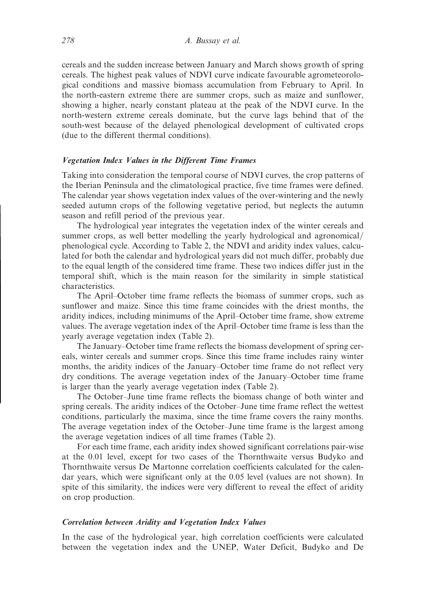cereals and the sudden increase between January and March shows growth of spring cereals. The highest peak values of NDVI curve indicate favourable agrometeorological conditions and massive biomass accumulation from February to April. In the north-eastern extreme there are summer crops, such as maize and sunflower, showing a higher, nearly constant plateau at the peak of the NDVI curve. In the north-western extreme cereals dominate, but the curve lags behind that of the south-west because of the delayed phenological development of cultivated crops (due to the different thermal conditions).

## Vegetation Index Values in the Different Time Frames

Taking into consideration the temporal course of NDVI curves, the crop patterns of the Iberian Peninsula and the climatological practice, five time frames were defined. The calendar year shows vegetation index values of the over-wintering and the newly seeded autumn crops of the following vegetative period, but neglects the autumn season and refill period of the previous year.

The hydrological year integrates the vegetation index of the winter cereals and summer crops, as well better modelling the yearly hydrological and agronomical/ phenological cycle. According to Table 2, the NDVI and aridity index values, calculated for both the calendar and hydrological years did not much differ, probably due to the equal length of the considered time frame. These two indices differ just in the temporal shift, which is the main reason for the similarity in simple statistical characteristics.

The April–October time frame reflects the biomass of summer crops, such as sunflower and maize. Since this time frame coincides with the driest months, the aridity indices, including minimums of the April–October time frame, show extreme values. The average vegetation index of the April–October time frame is less than the yearly average vegetation index (Table 2).

The January–October time frame reflects the biomass development of spring cereals, winter cereals and summer crops. Since this time frame includes rainy winter months, the aridity indices of the January–October time frame do not reflect very dry conditions. The average vegetation index of the January–October time frame is larger than the yearly average vegetation index (Table 2).

The October–June time frame reflects the biomass change of both winter and spring cereals. The aridity indices of the October–June time frame reflect the wettest conditions, particularly the maxima, since the time frame covers the rainy months. The average vegetation index of the October–June time frame is the largest among the average vegetation indices of all time frames (Table 2).

For each time frame, each aridity index showed significant correlations pair-wise at the 0.01 level, except for two cases of the Thornthwaite versus Budyko and Thornthwaite versus De Martonne correlation coefficients calculated for the calendar years, which were significant only at the 0.05 level (values are not shown). In spite of this similarity, the indices were very different to reveal the effect of aridity on crop production.

## Correlation between Aridity and Vegetation Index Values

In the case of the hydrological year, high correlation coefficients were calculated between the vegetation index and the UNEP, Water Deficit, Budyko and De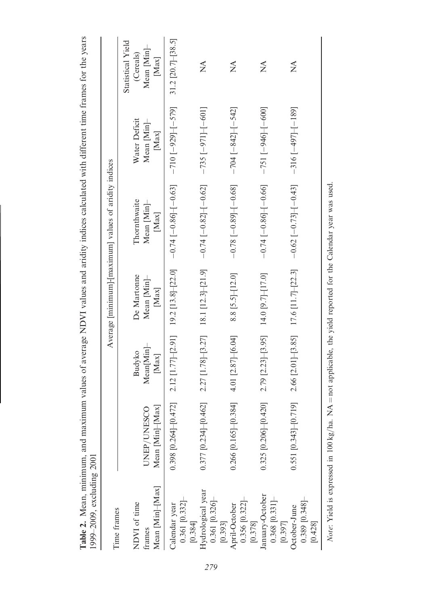| 1999–2009, excluding 2001                      |                              |                                         |                            | Table 2. Mean, minimum, and maximum values of average NDVI values and aridity indices calculated with different time frames for the years |                              |                           |
|------------------------------------------------|------------------------------|-----------------------------------------|----------------------------|-------------------------------------------------------------------------------------------------------------------------------------------|------------------------------|---------------------------|
| Time frames                                    |                              |                                         |                            | Average [minimum]-[maximum] values of aridity indices                                                                                     |                              |                           |
|                                                |                              |                                         |                            |                                                                                                                                           |                              | Statistical Yield         |
| NDVI of time<br>frames                         | UNEP/UNESCO                  | Mean[Min]<br>Budyko                     | De Martonne<br>Mean [Min]- | Thornthwaite<br>Mean [Min]-                                                                                                               | Water Deficit<br>Mean [Min]- | Mean [Min]-<br>(Cereals)  |
| Mean [Min]-[Max]                               | Mean [Min]-[Max]             | $[Max]$                                 | [Max]                      | $[Max]$                                                                                                                                   | $[Max]$                      | [Max]                     |
| $0.361$ [0.332]<br>Calendar year<br>[0.384]    | $0.398$ [0.264]-[0.472]      | $2.12$ [1.77]-[2.91]                    | $19.2$ [13.8]-[22.0]       | $-0.74[-0.86]{-}[-0.63]$                                                                                                                  | $-710[-929]-[-579]$          | 31.2 [20.7] $-$ [38.5]    |
| Hydrological year<br>0.361 [0.326]-<br>[0.393] | $0.377$ [0.234]-[0.462]      | $2.27$ [1.78]-[3.27] 18.1 [12.3]-[21.9] |                            | $-0.74$ [ $-0.82$ ] $-$ [ $-0.62$ ]                                                                                                       | $-735$ [ $-971$ ] $-601$ ]   | $\mathbb{X}^{\mathsf{A}}$ |
| $0.356$ [0.322]-<br>April-October<br>[0.378]   | 384]<br>$0.266$ [0.165]-[0.3 | 4.01 $[2.87]$ [6.04]                    | 8.8 [5.5]-[12.0]           | $[-80.78 - 0.89]$                                                                                                                         | $-704$ $[-842]$ $[-542]$     | $\mathbb{X}^{\mathsf{A}}$ |
| January-October<br>0.368 [0.331]–<br>[0.397]   | $0.325$ [0.206]-[0.420]      | $2.79$ [2.23]-[3.95]                    | 14.0 [9.7]-[17.0]          | $-0.74[-0.86]$ - 0.66                                                                                                                     | $-751[-946]-[-600]$          | $\mathbb{X}^{\mathsf{A}}$ |
| $0.389$ [0.348]<br>October-June<br>[0.428]     | $0.551$ [0.343] $-$ [0.719]  | $2.66$ [ $2.01$ ] $-$ [ $3.85$ ]        | $17.6$ [11.7]-[22.3]       | $-0.62[-0.73]$ $[-0.43]$                                                                                                                  | $-316[-497]-[-189]$          | $\mathbb{X}^{\mathsf{A}}$ |
|                                                |                              |                                         |                            |                                                                                                                                           |                              |                           |

Note: Yield is expressed in 100 kg/ha. NA = not applicable, the yield reported for the Calendar year was used. *Note:* Yield is expressed in 100 kg/ha. NA = not applicable, the yield reported for the Calendar year was used.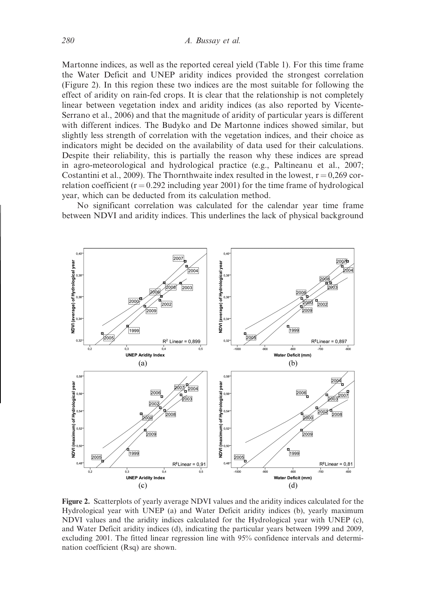Martonne indices, as well as the reported cereal yield (Table 1). For this time frame the Water Deficit and UNEP aridity indices provided the strongest correlation (Figure 2). In this region these two indices are the most suitable for following the effect of aridity on rain-fed crops. It is clear that the relationship is not completely linear between vegetation index and aridity indices (as also reported by Vicente-Serrano et al., 2006) and that the magnitude of aridity of particular years is different with different indices. The Budyko and De Martonne indices showed similar, but slightly less strength of correlation with the vegetation indices, and their choice as indicators might be decided on the availability of data used for their calculations. Despite their reliability, this is partially the reason why these indices are spread in agro-meteorological and hydrological practice (e.g., Paltineanu et al., 2007; Costantini et al., 2009). The Thornthwaite index resulted in the lowest,  $r = 0.269$  correlation coefficient ( $r = 0.292$  including year 2001) for the time frame of hydrological year, which can be deducted from its calculation method.

No significant correlation was calculated for the calendar year time frame between NDVI and aridity indices. This underlines the lack of physical background



Figure 2. Scatterplots of yearly average NDVI values and the aridity indices calculated for the Hydrological year with UNEP (a) and Water Deficit aridity indices (b), yearly maximum NDVI values and the aridity indices calculated for the Hydrological year with UNEP (c), and Water Deficit aridity indices (d), indicating the particular years between 1999 and 2009, excluding 2001. The fitted linear regression line with 95% confidence intervals and determination coefficient (Rsq) are shown.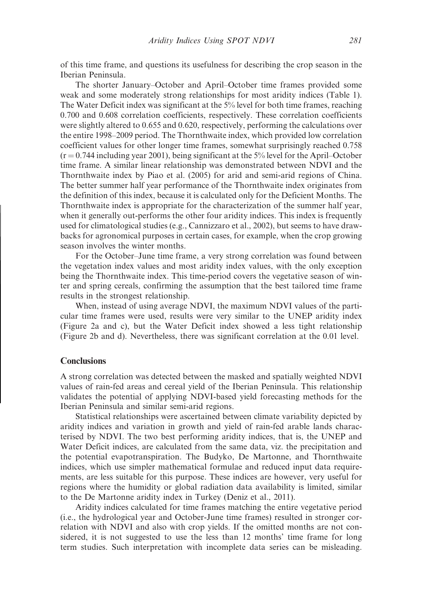of this time frame, and questions its usefulness for describing the crop season in the Iberian Peninsula.

The shorter January–October and April–October time frames provided some weak and some moderately strong relationships for most aridity indices (Table 1). The Water Deficit index was significant at the 5% level for both time frames, reaching 0.700 and 0.608 correlation coefficients, respectively. These correlation coefficients were slightly altered to 0.655 and 0.620, respectively, performing the calculations over the entire 1998–2009 period. The Thornthwaite index, which provided low correlation coefficient values for other longer time frames, somewhat surprisingly reached 0.758  $(r = 0.744$  including year 2001), being significant at the 5% level for the April–October time frame. A similar linear relationship was demonstrated between NDVI and the Thornthwaite index by Piao et al. (2005) for arid and semi-arid regions of China. The better summer half year performance of the Thornthwaite index originates from the definition of this index, because it is calculated only for the Deficient Months. The Thornthwaite index is appropriate for the characterization of the summer half year, when it generally out-performs the other four aridity indices. This index is frequently used for climatological studies (e.g., Cannizzaro et al., 2002), but seems to have drawbacks for agronomical purposes in certain cases, for example, when the crop growing season involves the winter months.

For the October–June time frame, a very strong correlation was found between the vegetation index values and most aridity index values, with the only exception being the Thornthwaite index. This time-period covers the vegetative season of winter and spring cereals, confirming the assumption that the best tailored time frame results in the strongest relationship.

When, instead of using average NDVI, the maximum NDVI values of the particular time frames were used, results were very similar to the UNEP aridity index (Figure 2a and c), but the Water Deficit index showed a less tight relationship (Figure 2b and d). Nevertheless, there was significant correlation at the 0.01 level.

#### **Conclusions**

A strong correlation was detected between the masked and spatially weighted NDVI values of rain-fed areas and cereal yield of the Iberian Peninsula. This relationship validates the potential of applying NDVI-based yield forecasting methods for the Iberian Peninsula and similar semi-arid regions.

Statistical relationships were ascertained between climate variability depicted by aridity indices and variation in growth and yield of rain-fed arable lands characterised by NDVI. The two best performing aridity indices, that is, the UNEP and Water Deficit indices, are calculated from the same data, viz. the precipitation and the potential evapotranspiration. The Budyko, De Martonne, and Thornthwaite indices, which use simpler mathematical formulae and reduced input data requirements, are less suitable for this purpose. These indices are however, very useful for regions where the humidity or global radiation data availability is limited, similar to the De Martonne aridity index in Turkey (Deniz et al., 2011).

Aridity indices calculated for time frames matching the entire vegetative period (i.e., the hydrological year and October-June time frames) resulted in stronger correlation with NDVI and also with crop yields. If the omitted months are not considered, it is not suggested to use the less than 12 months' time frame for long term studies. Such interpretation with incomplete data series can be misleading.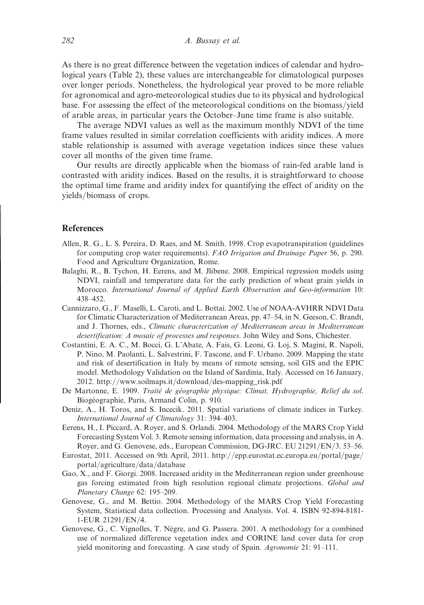As there is no great difference between the vegetation indices of calendar and hydrological years (Table 2), these values are interchangeable for climatological purposes over longer periods. Nonetheless, the hydrological year proved to be more reliable for agronomical and agro-meteorological studies due to its physical and hydrological base. For assessing the effect of the meteorological conditions on the biomass/yield of arable areas, in particular years the October–June time frame is also suitable.

The average NDVI values as well as the maximum monthly NDVI of the time frame values resulted in similar correlation coefficients with aridity indices. A more stable relationship is assumed with average vegetation indices since these values cover all months of the given time frame.

Our results are directly applicable when the biomass of rain-fed arable land is contrasted with aridity indices. Based on the results, it is straightforward to choose the optimal time frame and aridity index for quantifying the effect of aridity on the yields/biomass of crops.

# **References**

- Allen, R. G., L. S. Pereira, D. Raes, and M. Smith. 1998. Crop evapotranspiration (guidelines for computing crop water requirements). FAO Irrigation and Drainage Paper 56, p. 290. Food and Agriculture Organization, Rome.
- Balaghi, R., B. Tychon, H. Eerens, and M. Jlibene. 2008. Empirical regression models using NDVI, rainfall and temperature data for the early prediction of wheat grain yields in Morocco. International Journal of Applied Earth Observation and Geo-information 10: 438–452.
- Cannizzaro, G., F. Maselli, L. Caroti, and L. Bottai. 2002. Use of NOAA-AVHRR NDVI Data for Climatic Characterization of Mediterranean Areas, pp. 47–54, in N. Geeson, C. Brandt, and J. Thornes, eds., Climatic characterization of Mediterranean areas in Mediterranean desertification: A mosaic of processes and responses. John Wiley and Sons, Chichester.
- Costantini, E. A. C., M. Bocci, G. L'Abate, A. Fais, G. Leoni, G. Loj, S. Magini, R. Napoli, P. Nino, M. Paolanti, L. Salvestrini, F. Tascone, and F. Urbano. 2009. Mapping the state and risk of desertification in Italy by means of remote sensing, soil GIS and the EPIC model. Methodology Validation on the Island of Sardinia, Italy. Accessed on 16 January, 2012. http://www.soilmaps.it/download/des-mapping\_risk.pdf
- De Martonne, E. 1909. Traité de géographie physique: Climat, Hydrographie, Relief du sol. Biogéographie, Paris, Armand Colin, p. 910.
- Deniz, A., H. Toros, and S. Incecik. 2011. Spatial variations of climate indices in Turkey. International Journal of Climatology 31: 394–403.
- Eerens, H., I. Piccard, A. Royer, and S. Orlandi. 2004. Methodology of the MARS Crop Yield Forecasting System Vol. 3. Remote sensing information, data processing and analysis, in A. Royer, and G. Genovese, eds., European Commission, DG-JRC. EU 21291/EN/3. 53–56.
- Eurostat, 2011. Accessed on 9th April, 2011. http://epp.eurostat.ec.europa.eu/portal/page/ portal/agriculture/data/database
- Gao, X., and F. Giorgi. 2008. Increased aridity in the Mediterranean region under greenhouse gas forcing estimated from high resolution regional climate projections. Global and Planetary Change 62: 195–209.
- Genovese, G., and M. Bettio. 2004. Methodology of the MARS Crop Yield Forecasting System, Statistical data collection. Processing and Analysis. Vol. 4. ISBN 92-894-8181- 1-EUR 21291/EN/4.
- Genovese, G., C. Vignolles, T. Nègre, and G. Passera. 2001. A methodology for a combined use of normalized difference vegetation index and CORINE land cover data for crop yield monitoring and forecasting. A case study of Spain. Agronomie 21: 91–111.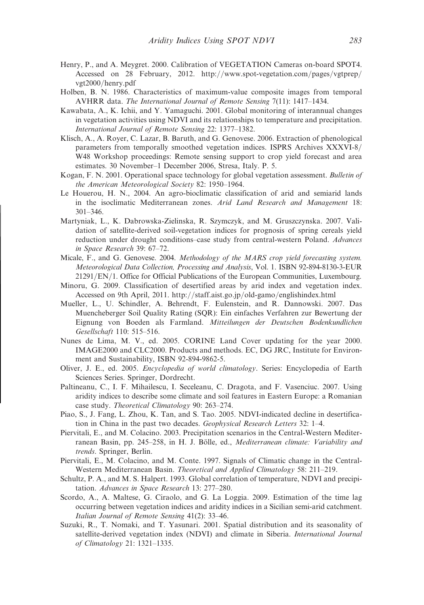- Henry, P., and A. Meygret. 2000. Calibration of VEGETATION Cameras on-board SPOT4. Accessed on 28 February, 2012. http://www.spot-vegetation.com/pages/vgtprep/ vgt2000/henry.pdf
- Holben, B. N. 1986. Characteristics of maximum-value composite images from temporal AVHRR data. The International Journal of Remote Sensing 7(11): 1417–1434.
- Kawabata, A., K. Ichii, and Y. Yamaguchi. 2001. Global monitoring of interannual changes in vegetation activities using NDVI and its relationships to temperature and precipitation. International Journal of Remote Sensing 22: 1377–1382.
- Klisch, A., A. Royer, C. Lazar, B. Baruth, and G. Genovese. 2006. Extraction of phenological parameters from temporally smoothed vegetation indices. ISPRS Archives XXXVI-8/ W48 Workshop proceedings: Remote sensing support to crop yield forecast and area estimates. 30 November–1 December 2006, Stresa, Italy. P. 5.
- Kogan, F. N. 2001. Operational space technology for global vegetation assessment. Bulletin of the American Meteorological Society 82: 1950–1964.
- Le Houerou, H. N., 2004. An agro-bioclimatic classification of arid and semiarid lands in the isoclimatic Mediterranean zones. Arid Land Research and Management 18: 301–346.
- Martyniak, L., K. Dabrowska-Zielinska, R. Szymczyk, and M. Gruszczynska. 2007. Validation of satellite-derived soil-vegetation indices for prognosis of spring cereals yield reduction under drought conditions–case study from central-western Poland. Advances in Space Research 39: 67–72.
- Micale, F., and G. Genovese. 2004. Methodology of the MARS crop yield forecasting system. Meteorological Data Collection, Processing and Analysis, Vol. 1. ISBN 92-894-8130-3-EUR  $21291/EN/1$ . Office for Official Publications of the European Communities, Luxembourg.
- Minoru, G. 2009. Classification of desertified areas by arid index and vegetation index. Accessed on 9th April, 2011. http://staff.aist.go.jp/old-gamo/englishindex.html
- Mueller, L., U. Schindler, A. Behrendt, F. Eulenstein, and R. Dannowski. 2007. Das Muencheberger Soil Quality Rating (SQR): Ein einfaches Verfahren zur Bewertung der Eignung von Boeden als Farmland. Mitteilungen der Deutschen Bodenkundlichen Gesellschaft 110: 515–516.
- Nunes de Lima, M. V., ed. 2005. CORINE Land Cover updating for the year 2000. IMAGE2000 and CLC2000. Products and methods. EC, DG JRC, Institute for Environment and Sustainability, ISBN 92-894-9862-5.
- Oliver, J. E., ed. 2005. Encyclopedia of world climatology. Series: Encyclopedia of Earth Sciences Series. Springer, Dordrecht.
- Paltineanu, C., I. F. Mihailescu, I. Seceleanu, C. Dragota, and F. Vasenciuc. 2007. Using aridity indices to describe some climate and soil features in Eastern Europe: a Romanian case study. Theoretical Climatology 90: 263–274.
- Piao, S., J. Fang, L. Zhou, K. Tan, and S. Tao. 2005. NDVI-indicated decline in desertification in China in the past two decades. Geophysical Research Letters 32: 1–4.
- Piervitali, E., and M. Colacino. 2003. Precipitation scenarios in the Central-Western Mediterranean Basin, pp. 245–258, in H. J. Bölle, ed., Mediterranean climate: Variability and trends. Springer, Berlin.
- Piervitali, E., M. Colacino, and M. Conte. 1997. Signals of Climatic change in the Central-Western Mediterranean Basin. Theoretical and Applied Climatology 58: 211–219.
- Schultz, P. A., and M. S. Halpert. 1993. Global correlation of temperature, NDVI and precipitation. Advances in Space Research 13: 277–280.
- Scordo, A., A. Maltese, G. Ciraolo, and G. La Loggia. 2009. Estimation of the time lag occurring between vegetation indices and aridity indices in a Sicilian semi-arid catchment. Italian Journal of Remote Sensing 41(2): 33–46.
- Suzuki, R., T. Nomaki, and T. Yasunari. 2001. Spatial distribution and its seasonality of satellite-derived vegetation index (NDVI) and climate in Siberia. International Journal of Climatology 21: 1321–1335.